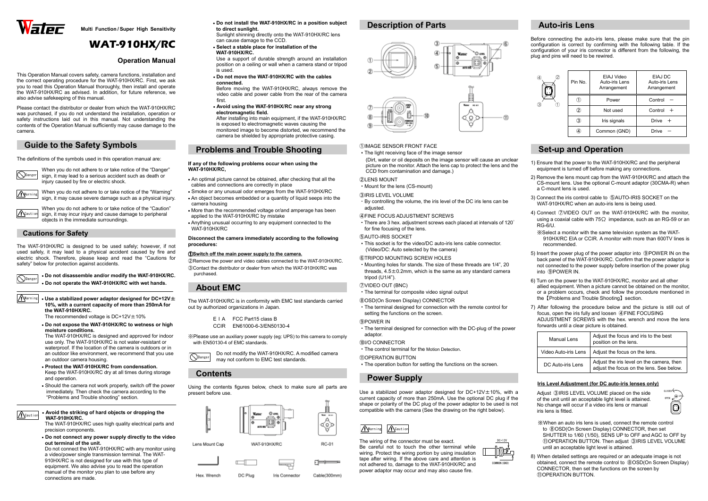

**Multi Function / Super High Sensitivity** 

# **WAT-910HX/RC**

### **Operation Manual**

This Operation Manual covers safety, camera functions, installation and the correct operating procedure for the WAT-910HX/RC. First, we ask you to read this Operation Manual thoroughly, then install and operate the WAT-910HX/RC as advised. In addition, for future reference, we also advise safekeeping of this manual.

Please contact the distributor or dealer from which the WAT-910HX/RC was purchased, if you do not understand the installation, operation or safety instructions laid out in this manual. Not understanding the contents of the Operation Manual sufficiently may cause damage to the camera.

# **Guide to the Safety Symbols**

The definitions of the symbols used in this operation manual are:

#### <sup>Warning</sup> • Use a stabilized power adaptor designed for DC+12V± **10%, with a current capacity of more than 250mA forthe WAT-910HX/RC.**

The recommended voltage is  $DC+12V \pm 10\%$ 

When you do not adhere to or take notice of the "Danger" sign, it may lead to a serious accident such as death or injury caused by fire or electric shock.

Warning

When you do not adhere to or take notice of the "Warning" sign, it may cause severe damage such as a physical injury.

**A**Caution

When you do not adhere to or take notice of the "Caution" sign, it may incur injury and cause damage to peripheral objects in the immediate surroundings.

### **Cautions for Safety**

The WAT-910HX/RC is designed to be used safely; however, if not used safely, it may lead to a physical accident caused by fire and electric shock. Therefore, please keep and read the "Cautions for safety" below for protection against accidents.

> • **Do not disassemble and/or modify the WAT-910HX/RC.** • **Do not operate the WAT-910HX/RC with wet hands.**

 • **Do not expose the WAT-910HX/RC to wetness or high moisture conditions.** 

 The WAT-910HX/RC is designed and approved for indoor use only. The WAT-910HX/RC is not water-resistant or waterproof. If the location of the camera is outdoors or in an outdoor like environment, we recommend that you use an outdoor camera housing.

- **Protect the WAT-910HX/RC from condensation.**  Keep the WAT-910HX/RC dry at all times during storage and operation.
- Should the camera not work properly, switch off the power immediately. Then check the camera according to the"Problems and Trouble shooting" section.

• **Avoid the striking of hard objects or dropping the WAT-910HX/RC.** 

Do not modify the WAT-910HX/RC. A modified camera may not conform to EMC test standards. **N**Danger

 The WAT-910HX/RC uses high quality electrical parts and precision components.

• **Do not connect any power supply directly to the video out terminal of the unit.**

 Do not connect the WAT-910HX/RC with any monitor using a video/power single transmission terminal. The WAT-910HX/RC is not designed for use with this type of equipment. We also advise you to read the operationmanual of the monitor you plan to use before any connections are made.

• There are 3 hex. adjustment screws each placed at intervals of 120 $^{\circ}$ for fine focusing of the lens.

#### **GAUTO-IRIS SOCKET**

• **Do not install the WAT-910HX/RC in a position subject to direct sunlight.** 

 Sunlight shinning directly onto the WAT-910HX/RC lens can cause damage to the CCD.

 • **Select a stable place for installation of the WAT-910HX/RC.** 

 Use a support of durable strength around an installation position on a ceiling or wall when a camera stand or tripod is used.

 • **Do not move the WAT-910HX/RC with the cables connected.**

 Before moving the WAT-910HX/RC, always remove the video cable and power cable from the rear of the camera first.

 • **Avoid using the WAT-910HX/RC near any strong electromagnetic field.** 

 After installing into main equipment, if the WAT-910HX/RC is exposed to electromagnetic waves causing the monitored image to become distorted, we recommend the camera be shielded by appropriate protective casing.

# **Problems and Trouble Shooting**

#### **If any of the following problems occur when using the WAT-910HX/RC,**

- An optimal picture cannot be obtained, after checking that all the cables and connections are correctly in place
- Smoke or any unusual odor emerges from the WAT-910HX/RC
- An object becomes embedded or a quantity of liquid seeps into the camera housing
- More than the recommended voltage or/and amperage has been applied to the WAT-910HX/RC by mistake
- Anything unusual occurring to any equipment connected to the WAT-910HX/RC

#### **Disconnect the camera immediately according to the following procedures:**

#### ①**Switch off the main power supply to the camera.**

②Remove the power and video cables connected to the WAT-910HX/RC. ③Contact the distributor or dealer from which the WAT-910HX/RC was purchased.

# **About EMC**

The WAT-910HX/RC is in conformity with EMC test standards carried out by authorized organizations in Japan.

> E <sup>I</sup> A FCC Part15 class B CCIR EN61000-6-3/EN50130-4

※Please use an auxiliary power supply (eg: UPS) to this camera to comply with EN50130-4 of EMC standards.

# **Contents**

Using the contents figures below, check to make sure all parts are present before use.



# **Description of Parts**





#### ①IMAGE SENSOR FRONT FACE

 ・The light receiving face of the image sensor (Dirt, water or oil deposits on the image sensor will cause an unclear picture on the monitor. Attach the lens cap to protect the lens and the CCD from contamination and damage.)

### ②LENS MOUNT

- ・Mount for the lens (CS-mount) ③IRIS LEVEL VOLUME
	- ・By controlling the volume, the iris level of the DC iris lens can be adjusted.

#### ④FINE FOCUS ADJUSTMENT SCREWS

 ・This socket is for the video/DC auto-iris lens cable connector. (Video/DC: Auto selected by the camera)

### ⑥TRIPOD MOUNTING SCREW HOLES

 ・Mounting holes for stands. The size of these threads are 1/4", 20 threads,  $4.5 \pm 0.2$ mm, which is the same as any standard camera tripod (U1/4").

#### ⑦VIDEO OUT (BNC)

・The terminal for composite video signal output

### ⑧OSD(On Screen Display) CONNECTOR

 ・The terminal designed for connection with the remote control for setting the functions on the screen.

#### ⑨POWER IN

・The terminal designed for connection with the DC-plug of the power

### adaptor.

- ⑩I/O CONNECTOR
- ・The control terminal for the Motion Detection.

#### ⑪OPERATION BUTTON

・The operation button for setting the functions on the screen.

# **Power Supply**

Use a stabilized power adaptor designed for DC+12V±10%, with a current capacity of more than 250mA. Use the optional DC plug if the shape or polarity of the DC plug of the power adaptor to be used is not compatible with the camera (See the drawing on the right below).

The wiring of the connector must be exact. Be careful not to touch the other terminal while wiring. Protect the wiring portion by using insulation tape after wiring. If the above care and attention is not adhered to, damage to the WAT-910HX/RC and power adaptor may occur and may also cause fire.

# **Auto-iris Lens**

Before connecting the auto-iris lens, please make sure that the pin configuration is correct by confirming with the following table. If the configuration of your iris connector is different from the following, the plug and pins will need to be rewired.

# **Set-up and Operation**

- 1) Ensure that the power to the WAT-910HX/RC and the peripheral equipment is turned off before making any connections.
- 2) Remove the lens mount cap from the WAT-910HX/RC and attach the CS-mount lens. Use the optional C-mount adaptor (30CMA-R) when a C-mount lens is used.
- 3) Connect the iris control cable to ⑤AUTO-IRIS SOCKET on the WAT-910HX/RC when an auto-iris lens is being used.
- 4) Connect ⑦VIDEO OUT on the WAT-910HX/RC with the monitor, using a coaxial cable with 75 $\Omega$  impedance, such as an RG-59 or an RG-6/U.
- ※Select a monitor with the same television system as the WAT-910HX/RC EIA or CCIR. A monitor with more than 600TV lines is recommended.
- 5) Insert the power plug of the power adaptor into ⑨POWER IN on the back panel of the WAT-910HX/RC. Confirm that the power adaptor is not connected to the power supply before insertion of the power plug into ⑨POWER IN.
- 6) Turn on the power to the WAT-910HX/RC, monitor and all other allied equipment. When a picture cannot be obtained on the monitor, or a problem occurs, check and follow the procedure mentioned in the【Problems and Trouble Shooting】section.
- 7) After following the procedure below and the picture is still out of focus, open the iris fully and loosen ④FINE FOCUSING ADJUSTMENT SCREWS with the hex. wrench and move the lens forwards until a clear picture is obtained.

| $\left( 4\right)$ | Pin No. | EIAJ Video<br>Auto-iris Lens<br>Arrangement | EIAJ DC<br>Auto-iris Lens<br>Arrangement |
|-------------------|---------|---------------------------------------------|------------------------------------------|
| 3                 |         | Power                                       | Control                                  |
|                   | 2       | Not used                                    | Control                                  |
|                   | 3)      | Iris signals                                | Drive                                    |
|                   | 4       | Common (GND)                                | Drive                                    |

| Manual Lens          | Adjust the focus and iris to the best<br>position on the lens.                        |  |
|----------------------|---------------------------------------------------------------------------------------|--|
| Video Auto-iris Lens | Adjust the focus on the lens.                                                         |  |
| DC Auto-iris Lens    | Adjust the iris level on the camera, then<br>adjust the focus on the lens. See below. |  |

### **Iris Level Adjustment (for DC auto-iris lenses only)**

Adjust ③IRIS LEVEL VOLUME placed on the side of the unit until an acceptable light level is attained. No change will occur if a video iris lens or manual iris lens is fitted.

- ※ When an auto iris lens is used, connect the remote control to ⑧OSD(On Screen Display) CONNECTOR, then set SHUTTER to 1/60 (1/50), SENS UP to OFF and AGC to OFF by ⑪OPERATION BUTTON. Then adjust ③IRIS LEVEL VOLUME until an acceptable light level is attained.
- 8) When detailed settings are required or an adequate image is not obtained, connect the remote control to ⑧OSD(On Screen Display) CONNECTOR, then set the functions on the screen by ⑪OPERATION BUTTON.